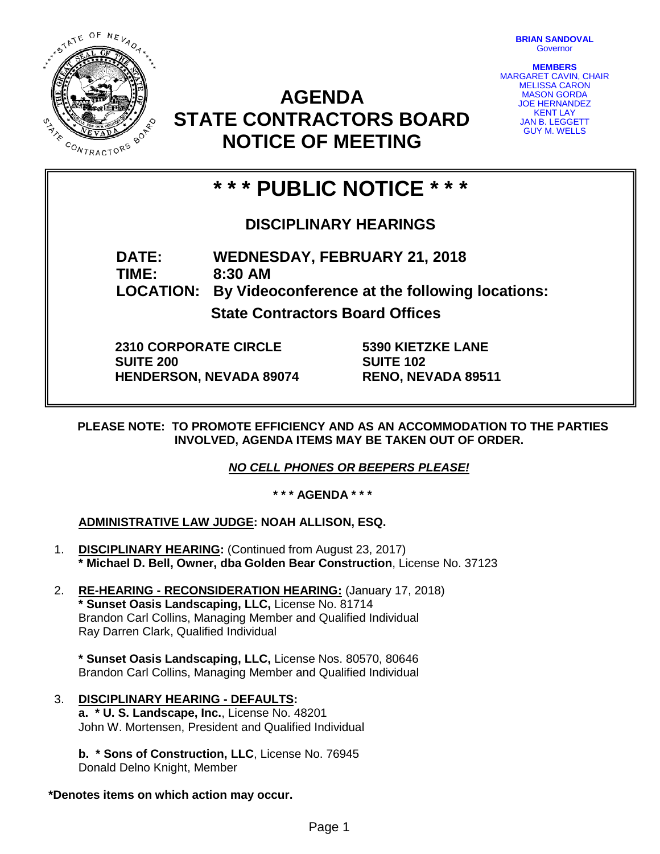

**BRIAN SANDOVAL Governor** 

**MEMBERS** MARGARET CAVIN, CHAIR MELISSA CARON MASON GORDA JOE HERNANDEZ KENT LAY **JAN B. LEGGETT** GUY M. WELLS

## **AGENDA STATE CONTRACTORS BOARD NOTICE OF MEETING**

# **\* \* \* PUBLIC NOTICE \* \* \***

## **DISCIPLINARY HEARINGS**

**DATE: WEDNESDAY, FEBRUARY 21, 2018 TIME: 8:30 AM LOCATION: By Videoconference at the following locations:**

**State Contractors Board Offices**

**2310 CORPORATE CIRCLE SUITE 200 HENDERSON, NEVADA 89074** **5390 KIETZKE LANE SUITE 102 RENO, NEVADA 89511**

**PLEASE NOTE: TO PROMOTE EFFICIENCY AND AS AN ACCOMMODATION TO THE PARTIES INVOLVED, AGENDA ITEMS MAY BE TAKEN OUT OF ORDER.**

*NO CELL PHONES OR BEEPERS PLEASE!* 

**\* \* \* AGENDA \* \* \***

### **ADMINISTRATIVE LAW JUDGE: NOAH ALLISON, ESQ.**

- 1. **DISCIPLINARY HEARING:** (Continued from August 23, 2017) **\* Michael D. Bell, Owner, dba Golden Bear Construction**, License No. 37123
- 2. **RE-HEARING - RECONSIDERATION HEARING:** (January 17, 2018) **\* Sunset Oasis Landscaping, LLC,** License No. 81714 Brandon Carl Collins, Managing Member and Qualified Individual Ray Darren Clark, Qualified Individual

**\* Sunset Oasis Landscaping, LLC,** License Nos. 80570, 80646 Brandon Carl Collins, Managing Member and Qualified Individual

#### 3. **DISCIPLINARY HEARING - DEFAULTS: a. \* U. S. Landscape, Inc.**, License No. 48201 John W. Mortensen, President and Qualified Individual

**b. \* Sons of Construction, LLC**, License No. 76945 Donald Delno Knight, Member

### **\*Denotes items on which action may occur.**